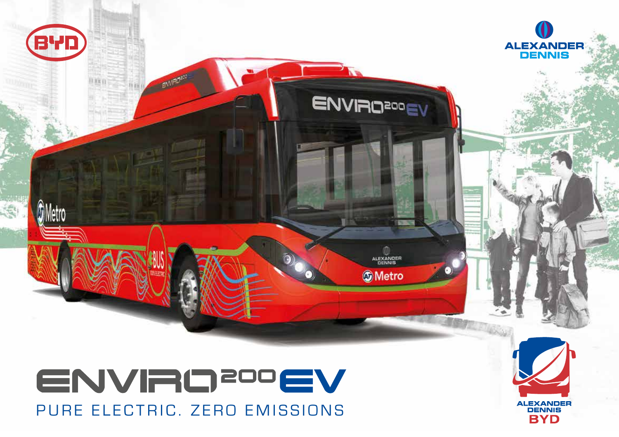

PURE ELECTRIC. ZERO EMISSIONS

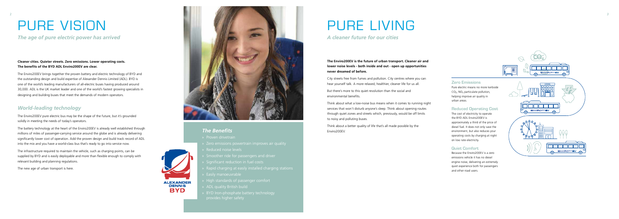## *The Benefits*

- » Proven drivetrain
- 
- » Reduced noise levels
- » Smoother ride for passengers and driver
- » Significant reduction in fuel costs
- » Rapid charging at easily installed charging stations
- » Easily manoeuvrable

**ALEXANDER DENNIS BYD** 

- » High standards of passenger comfort
- » ADL quality British build
- » BYD Iron-phosphate battery technology provides higher safety

# PURE VISION

## **Cleaner cities. Quieter streets. Zero emissions. Lower operating costs. The benefits of the BYD ADL Enviro200EV are clear.**

The Enviro200EV brings together the proven battery and electric technology of BYD and the outstanding design and build expertise of Alexander Dennis Limited (ADL). BYD is one of the world's leading manufacturers of all-electric buses having produced around 30,000. ADL is the UK market leader and one of the world's fastest growing specialists in designing and building buses that meet the demands of modern operators.

## *World-leading technology*

The Enviro200EV pure electric bus may be the shape of the future, but it's grounded solidly in meeting the needs of today's operators.

The battery technology at the heart of the Enviro200EV is already well established through millions of miles of passenger-carrying service around the globe and is already delivering significantly lower cost of operation. Add the proven design and build track record of ADL into the mix and you have a world-class bus that's ready to go into service now.

The infrastructure required to maintain the vehicle, such as charging points, can be supplied by BYD and is easily deployable and more than flexible enough to comply with relevant building and planning regulations.

The new age of urban transport is here.



*The age of pure electric power has arrived*

# PURE LIVING

**The Enviro200EV is the future of urban transport. Cleaner air and lower noise levels - both inside and out - open up opportunities never dreamed of before.**

City streets free from fumes and pollution. City centres where you can hear yourself talk. A more relaxed, healthier, cleaner life for us all.

But there's more to this quiet revolution than the social and environmental benefits.

Think about what a low-noise bus means when it comes to running night services that won't disturb anyone's sleep. Think about opening routes through quiet zones and streets which, previously, would be off limits to noisy and polluting buses.

Think about a better quality of life that's all made possible by the Enviro200EV.

## *A cleaner future for our cities*

## **Zero Emissions**

Pure electric means no more kerbside  $CO<sub>2</sub>$ , NO<sub>x</sub> particulate pollution, helping improve air quality in urban areas.

## **Reduced Operating Cost**

The cost of electricity to operate the BYD ADL Enviro200EV is approximately a third of the price of diesel fuel. It does not only save the environment, but also reduces your operating costs by charging at night on low rate electricity.

### **Quiet Comfort**

Because the Enviro200EV is a zero emissions vehicle it has no diesel engine noise, delivering an extremely quiet experience both for passengers and other road users.





*2*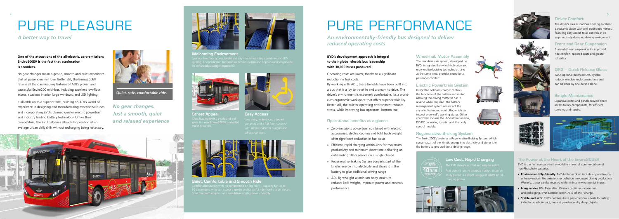**Welcoming Environment**

 $S_{\text{S}}$  floor access, bright and airy interior with large windows and LED In enhanced passenger experienc



**Street Appeal** set presence



## **Quiet, Comfortable and Smooth Ride**



# PURE PLEASURE

**One of the attractions of the all-electric, zero-emissions Enviro200EV is the fact that acceleration is seamless.** 

> **Easy Access**  $\theta$ heelchair use



No gear changes mean a gentle, smooth and quiet experience that all passengers will love. Better still, the Enviro200EV retains all the class-leading features of ADL's proven and successful Enviro200 midi-bus, including excellent low-floor access, spacious interior, large windows, and LED lighting.

It all adds up to a superior ride, building on ADL's world of experience in designing and manufacturing exceptional buses and incorporating BYD's cleaner, quieter electric powertrain and industry leading battery technology. Unlike their competitors, the BYD batteries allow full operation of an average urban daily shift without recharging being necessary.



## *A better way to travel*

*No gear changes. Just a smooth, quiet and relaxed experience*





*Quiet, safe, comfortable ride.*

*4*

# PURE PERFORMANCE



## **Driver Comfort**

The driver's area is spacious offering excellent panoramic vision with well positioned mirrors, featuring easy access to all controls in an ergonomically designed driving environment.

## **QRG – Quick Release Glass**

ADL's optional patented QRG system reduces window replacement time and can be done by one person alone.

### **Simple Maintenance**

Expansive doors and panels provide direct access to key components, for efficient servicing and repairs.

## **Low Cost, Rapid Charging**













## **BYD's development approach is integral to their global electric bus leadership with 30,000 buses produced.**

Operating costs are lower, thanks to a significant reduction in fuel costs.

By working with ADL, these benefits have been built into a bus that is a joy to travel in and a dream to drive. The driver's environment is extremely comfortable, it's a worldclass ergonomic workspace that offers superior visibility. Better still, the quieter operating environment reduces stress, while improving bus operators' bottom line.

## **The Power at the Heart of the Enviro200EV**

BYD is the first company in the world to make full commercial use of Iron-Phosphate batteries.

- **Environmentally-friendly:** BYD batteries don't include any electrolytes or heavy metals. No emissions or pollution are caused during production. Waste batteries can be recycled with minimal environmental impact.
- **Long service life:** Even after 10 years continuous operation and recharging, BYD batteries retain 75% of their charge.
- **Stable and safe:** BYD's batteries have passed rigorous tests for safety, including crash, impact, fire and penetration by sharp objects.

### **Front and Rear Suspension**

State-of-the-art suspension for improved ride comfort, reduced costs and greater reliability.

## **Operational benefits at a glance**

- » Zero emissions powertrain combined with electric accessories, electric cooling and light body weight offer significant reduction in fuel costs
- » Efficient, rapid charging within 4hrs for maximum productivity and minimum downtime delivering an outstanding 18hrs service on a single charge
- » Regenerative Braking System converts part of the kinetic energy into electricity and stores it in the battery to give additional driving range
- » ADL lightweight aluminium body structure reduces kerb weight, improves power and controls performance

## **Wheel-hub Motor Assembly**

The rear drive axle system, developed by BYD, integrates the wheel-hub drive and regenerative braking technologies, and at the same time, provides exceptional passenger comfort.

### **Electric Powertrain System**

Integrated onboard charger controls the functions of the battery and motor allowing the driving motor to run in reverse when required. The battery management system consists of the signal collector and controller, which can inspect every cell's working status. Other controllers include the HV distribution box, DC-DC converter, inverter and the body control module.

### **Regenerative Braking System**

The Enviro200EV features a Regenerative Braking System, which converts part of the kinetic energy into electricity and stores it in the battery to give additional driving range.

*An environmentally-friendly bus designed to deliver reduced operating costs*

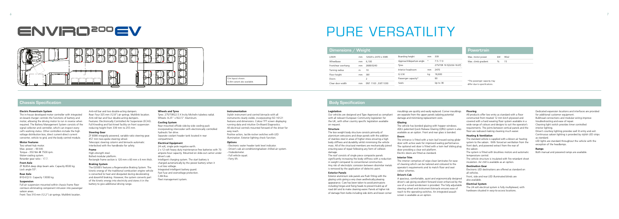## PURE VERSATILITY

## **Chassis Specification**

#### **Electric Powertrain System**

The in-house developed motor controller with integrated on-board charger controls the functions of battery and motor, allowing the driving motor to run in reverse when required. The Battery Management System consists of the signal collector and controller, which can inspect every cell's working status. Other controllers include the high voltage distribution box, direct current-direct current converter, vehicle to grid, and the body control module.

ZF RL85A deep drop beam axle. Capacity 8500 kg. Lock angle 55°.

#### **Motor Features**

Two wheel-hub motor. Max. power – 90 kW. Torque - 350 Nm @ 7500 rpm. Water-cooling system. Retarder gear ratio - 17.7.

#### **Front Axle**

#### **Rear Axle**

BYD-EQ13. Capacity 13000 kg.

#### **Suspension**

Full air suspension mounted within chassis frame floor contours eliminating component intrusion into passenger saloon areas. Front: Two 310 mm (12.2") air springs. Multilink location.

Anti-roll bar and two double-acting dampers. Rear: Four 325 mm (12.8") air springs. Multilink location. Anti-roll bar and four double-acting dampers. Features: Electronically Controlled Air Suspension (ECAS). Full Kneeling and fast-kneel facility on front suspension reducing height from 339 mm to 255 mm.

#### **Steering Gear**

ZF 8098 integrally powered, variable ratio steering gear. 457 mm two-spoke steering wheel. Telescopic steering column and binnacle automatic interlocked with the handbrake for safety.

### **Frame**

High-strength steel. Bolted modular platform. Rectangle frame section is 120 mm x 60 mm x 6 mm thick.

#### **Braking System**

The E200EV features a Regenerative Braking System. The kinetic energy of the traditional combustion engine vehicle is converted to heat and dissipated during decelerating and downhill braking. However, the system converts part of the kinetic energy into electricity and stores it in the battery to give additional driving range.

#### **Wheels and Tyres**

Tyres: 275/70R22.5 X lncity Michelin tubeless radial. Wheels: 8.25" x R22.5" Aluminum.

#### **Cooling System**

Rear mounted offside side-by-side cooling pack incorporating intercooler with electronically controlled hydraulic fan drive. Separate coolant header tank located in rear compartment.

#### **Electrical Equipment**

24 volt, single pole negative earth. 2 x 12 volt heavy duty maintenance-free batteries with 70 ampere-hour capacity. Mounted on slide-out carrier under driver's cab. Intelligent charging system. The start battery is charged automatically by the power battery when it is at low voltage. Integrated intelligent battery guard. Fast fuse and overvoltage protection. CAN Bus. Fleet management system.

#### **Instrumentation**

Stylish instrument and control binnacle with all instruments clearly visible, incorporating ISO 16121 features and dimensions. Colour TFT screen displaying running data and intuitive On-Board Diagnostics. All electrical controls mounted forward of the driver for easy reach. Positive action, tactile rocker switches with LED illumination. Exterior lighting check function.

#### **Options**

- Electronic water header tank level indicator. - Driver's cab air-conditioning/saloon chilled air system. - Hubodometer. - Full vehicle squat. - Ferry lift.

- 
- 
- 

#### **Legislation**

Our vehicles are designed and Type Approved as compliant with all relevant European Community legislation for the UK, with other country specific legislation available on request.

#### **Structure**

The low weight body structure consists primarily of aluminium extrusions and shear panels with the addition of stainless steel in areas of higher stress ensuring a high body stiffness and durability whilst minimising the vehicle mass. All of the structural members are mechanically joined ensuring ease of repair following any form of collision damage.

The roof consists of single piece composite panels significantly increasing the body stiffness with a reduction in weight compared to conventional construction. Any risk of electrolytic corrosion between dissimilar metals is removed by the application of dielectric paint.

#### **Exterior Panels**

Exterior aluminium side panels are flush fitting with the glazing units giving a very clean aesthetically pleasing appearance. Care has been taken to avoid protrusions including hinges and fixing heads to prevent build up of road dirt and to make cleaning easier. Panels at higher risk of damage from kerbs including side skirts and lower corner

mouldings are quickly and easily replaced. Corner mouldings are separate from the upper panels isolating potential damage and minimising replacement costs.

#### **Glazing**

The vehicle has bonded glazing with hopper windows. ADL's patented Quick Release Glazing (QRG) system is also available as an option. Front and rear glass is bonded.

#### **Doors**

The entrance is fitted with a twin leaf inward swing glider door with active seals for improved sealing performance. The optional exit door is fitted with a twin leaf sliding plug door providing a clear exit platform. Electric doors are fitted as standard.

#### **Interior Trim**

The interior comprises of wipe-clean laminates for ease of cleaning which can be tailored and coloured to the operator's requirements and to match floor and seat colour schemes.

#### **Driver's Cab**

A spacious, comfortable, quiet and ergonomically designed driver's cab giving excellent forward vision enhanced by the use of a curved windscreen is provided. The fully adjustable steering wheel and instrument binnacle ensures ease of reach to the operating switches. An integrated assault screen is available as an option.

#### **Flooring**

All products offer low entry as standard with a floor constructed from treated 12 mm birch plywood and covered with a hard wearing floor system available in a wide range of colours and designs to suit the operator's requirements. The joints between vertical panels and the floor are radiused making cleaning much easier.

#### **Heating & Ventilation**

The standard vehicle is supplied with a blown air heating system to the saloon. With forced air ventilation from the front dash, and powered extract from the rear of the saloon.

The system is fitted with brushless motors and automatic temperature control.

The vehicle structure is insulated with fire retardant sheet insulation. Air chill is available as an option.

#### **Destination Gear**

Electronic LED destinations are offered as standard on all vehicles. Front, side and rear LED illuminated blinds are

also available.

#### **Electrical System**

The 24 volt electrical system is fully multiplexed, with hardware situated in easy-to-access locations.

Dedicated expansion locations and interfaces are provided for additional customer equipment. Bulkhead connections and modular wiring improve troubleshooting and ease of repair. Cleaning light switch provides timer controlled interior lighting. Driver's courtesy lighting provides well lit entry and exit. Continuous saloon lighting is provided by stylish LED strips as standard.

LED lights are standard throughout the vehicle with the exception of the headlamps.

#### **Ramps**

Both manual and powered ramps are available.

## **Body Specification**

| Dimensions $\diagup$ Weight |  |
|-----------------------------|--|
|                             |  |

| L/W/H               | mm            | 12029 x 2470 x 3385    | Boarding height          | mm      | 339                     |
|---------------------|---------------|------------------------|--------------------------|---------|-------------------------|
| Wheelbase           | mm            | 6.100                  | Approach/departure angle | $\circ$ | 7.5/7.0                 |
| Front/rear overhang | mm            | 2689/3240              | Tyres                    |         | 275/70R 19.5{GVW-18.6T} |
| Turning radius      | m             | 10                     | Interior headroom        | mm      | 2470                    |
| Floor height        | mm            | 381                    | G.V.W                    | kq      | 18,600                  |
| Doors               |               |                        | Passenger capacity*      |         | 90                      |
| Clear door width    | <sub>mm</sub> | ENT: 1163 ; EXIT: 1030 | Seats                    |         | Up to $36$              |
|                     |               |                        |                          |         |                         |

| Powertrain          |    |      |  |
|---------------------|----|------|--|
| Max. motor power    | kW | 90x2 |  |
| Max. climb gradient | %  | 15   |  |

\*The passenger capacity may differ due to specifications.

## ENVRO<sup>200</sup>EV



12m layout shown. 10.8m variant also available.